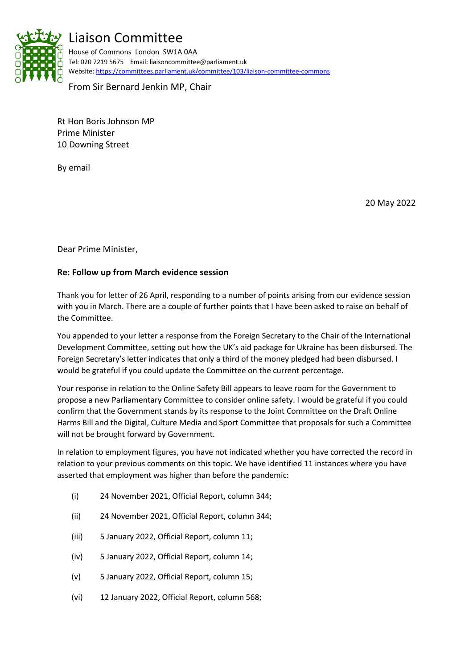

## Liaison Committee

House of Commons London SW1A 0AA Tel: 020 7219 5675 Email: liaisoncommittee@parliament.uk Website:<https://committees.parliament.uk/committee/103/liaison-committee-commons>

From Sir Bernard Jenkin MP, Chair

Rt Hon Boris Johnson MP Prime Minister 10 Downing Street

By email

20 May 2022

Dear Prime Minister,

## **Re: Follow up from March evidence session**

Thank you for letter of 26 April, responding to a number of points arising from our evidence session with you in March. There are a couple of further points that I have been asked to raise on behalf of the Committee.

You appended to your letter a response from the Foreign Secretary to the Chair of the International Development Committee, setting out how the UK's aid package for Ukraine has been disbursed. The Foreign Secretary's letter indicates that only a third of the money pledged had been disbursed. I would be grateful if you could update the Committee on the current percentage.

Your response in relation to the Online Safety Bill appears to leave room for the Government to propose a new Parliamentary Committee to consider online safety. I would be grateful if you could confirm that the Government stands by its response to the Joint Committee on the Draft Online Harms Bill and the Digital, Culture Media and Sport Committee that proposals for such a Committee will not be brought forward by Government.

In relation to employment figures, you have not indicated whether you have corrected the record in relation to your previous comments on this topic. We have identified 11 instances where you have asserted that employment was higher than before the pandemic:

- (i) 24 November 2021, Official Report, column 344;
- (ii) 24 November 2021, Official Report, column 344;
- (iii) 5 January 2022, Official Report, column 11;
- (iv) 5 January 2022, Official Report, column 14;
- (v) 5 January 2022, Official Report, column 15;
- (vi) 12 January 2022, Official Report, column 568;